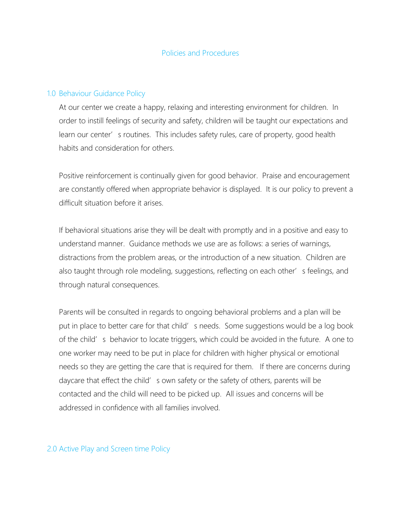#### 1.0 Behaviour Guidance Policy

At our center we create a happy, relaxing and interesting environment for children. In order to instill feelings of security and safety, children will be taught our expectations and learn our center' s routines. This includes safety rules, care of property, good health habits and consideration for others.

Positive reinforcement is continually given for good behavior. Praise and encouragement are constantly offered when appropriate behavior is displayed. It is our policy to prevent a difficult situation before it arises.

If behavioral situations arise they will be dealt with promptly and in a positive and easy to understand manner. Guidance methods we use are as follows: a series of warnings, distractions from the problem areas, or the introduction of a new situation. Children are also taught through role modeling, suggestions, reflecting on each other's feelings, and through natural consequences.

Parents will be consulted in regards to ongoing behavioral problems and a plan will be put in place to better care for that child' s needs. Some suggestions would be a log book of the child's behavior to locate triggers, which could be avoided in the future. A one to one worker may need to be put in place for children with higher physical or emotional needs so they are getting the care that is required for them. If there are concerns during daycare that effect the child' s own safety or the safety of others, parents will be contacted and the child will need to be picked up. All issues and concerns will be addressed in confidence with all families involved.

2.0 Active Play and Screen time Policy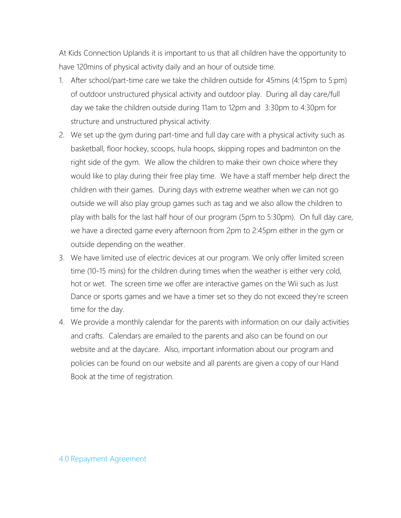At Kids Connection Uplands it is important to us that all children have the opportunity to have 120mins of physical activity daily and an hour of outside time.

- 1. After school/part-time care we take the children outside for 45mins (4:15pm to 5:pm) of outdoor unstructured physical activity and outdoor play. During all day care/full day we take the children outside during 11am to 12pm and 3:30pm to 4:30pm for structure and unstructured physical activity.
- 2. We set up the gym during part-time and full day care with a physical activity such as basketball, floor hockey, scoops, hula hoops, skipping ropes and badminton on the right side of the gym. We allow the children to make their own choice where they would like to play during their free play time. We have a staff member help direct the children with their games. During days with extreme weather when we can not go outside we will also play group games such as tag and we also allow the children to play with balls for the last half hour of our program (5pm to 5:30pm). On full day care, we have a directed game every afternoon from 2pm to 2:45pm either in the gym or outside depending on the weather.
- 3. We have limited use of electric devices at our program. We only offer limited screen time (10-15 mins) for the children during times when the weather is either very cold, hot or wet. The screen time we offer are interactive games on the Wii such as Just Dance or sports games and we have a timer set so they do not exceed they're screen time for the day.
- 4. We provide a monthly calendar for the parents with information on our daily activities and crafts. Calendars are emailed to the parents and also can be found on our website and at the daycare. Also, important information about our program and policies can be found on our website and all parents are given a copy of our Hand Book at the time of registration.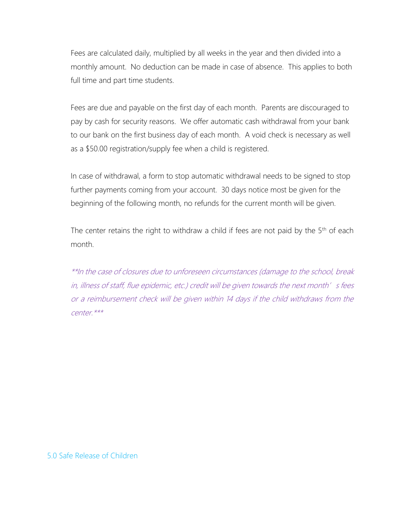Fees are calculated daily, multiplied by all weeks in the year and then divided into a monthly amount. No deduction can be made in case of absence. This applies to both full time and part time students.

Fees are due and payable on the first day of each month. Parents are discouraged to pay by cash for security reasons. We offer automatic cash withdrawal from your bank to our bank on the first business day of each month. A void check is necessary as well as a \$50.00 registration/supply fee when a child is registered.

In case of withdrawal, a form to stop automatic withdrawal needs to be signed to stop further payments coming from your account. 30 days notice most be given for the beginning of the following month, no refunds for the current month will be given.

The center retains the right to withdraw a child if fees are not paid by the 5<sup>th</sup> of each month.

\*\*In the case of closures due to unforeseen circumstances (damage to the school, break in, illness of staff, flue epidemic, etc.) credit will be given towards the next month's fees or a reimbursement check will be given within 14 days if the child withdraws from the center.\*\*\*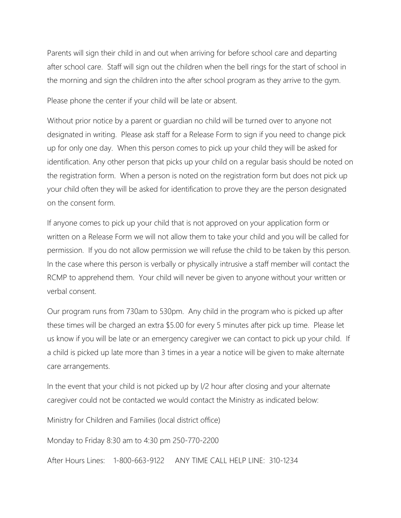Parents will sign their child in and out when arriving for before school care and departing after school care. Staff will sign out the children when the bell rings for the start of school in the morning and sign the children into the after school program as they arrive to the gym.

Please phone the center if your child will be late or absent.

Without prior notice by a parent or guardian no child will be turned over to anyone not designated in writing. Please ask staff for a Release Form to sign if you need to change pick up for only one day. When this person comes to pick up your child they will be asked for identification. Any other person that picks up your child on a regular basis should be noted on the registration form. When a person is noted on the registration form but does not pick up your child often they will be asked for identification to prove they are the person designated on the consent form.

If anyone comes to pick up your child that is not approved on your application form or written on a Release Form we will not allow them to take your child and you will be called for permission. If you do not allow permission we will refuse the child to be taken by this person. In the case where this person is verbally or physically intrusive a staff member will contact the RCMP to apprehend them. Your child will never be given to anyone without your written or verbal consent.

Our program runs from 730am to 530pm. Any child in the program who is picked up after these times will be charged an extra \$5.00 for every 5 minutes after pick up time. Please let us know if you will be late or an emergency caregiver we can contact to pick up your child. If a child is picked up late more than 3 times in a year a notice will be given to make alternate care arrangements.

In the event that your child is not picked up by l/2 hour after closing and your alternate caregiver could not be contacted we would contact the Ministry as indicated below:

Ministry for Children and Families (local district office)

Monday to Friday 8:30 am to 4:30 pm 250-770-2200

After Hours Lines: 1-800-663-9122 ANY TIME CALL HELP LINE: 310-1234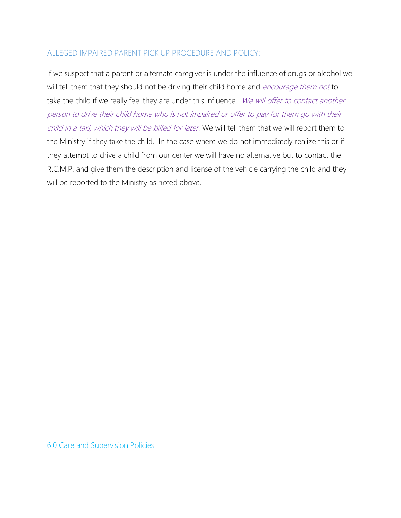### ALLEGED IMPAIRED PARENT PICK UP PROCEDURE AND POLICY:

If we suspect that a parent or alternate caregiver is under the influence of drugs or alcohol we will tell them that they should not be driving their child home and *encourage them not* to take the child if we really feel they are under this influence. We will offer to contact another person to drive their child home who is not impaired or offer to pay for them go with their child in a taxi, which they will be billed for later. We will tell them that we will report them to the Ministry if they take the child. In the case where we do not immediately realize this or if they attempt to drive a child from our center we will have no alternative but to contact the R.C.M.P. and give them the description and license of the vehicle carrying the child and they will be reported to the Ministry as noted above.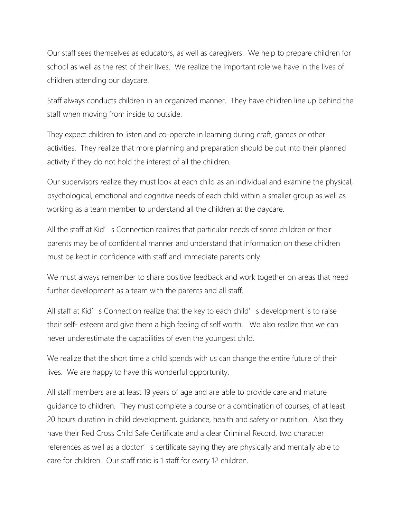Our staff sees themselves as educators, as well as caregivers. We help to prepare children for school as well as the rest of their lives. We realize the important role we have in the lives of children attending our daycare.

Staff always conducts children in an organized manner. They have children line up behind the staff when moving from inside to outside.

They expect children to listen and co-operate in learning during craft, games or other activities. They realize that more planning and preparation should be put into their planned activity if they do not hold the interest of all the children.

Our supervisors realize they must look at each child as an individual and examine the physical, psychological, emotional and cognitive needs of each child within a smaller group as well as working as a team member to understand all the children at the daycare.

All the staff at Kid's Connection realizes that particular needs of some children or their parents may be of confidential manner and understand that information on these children must be kept in confidence with staff and immediate parents only.

We must always remember to share positive feedback and work together on areas that need further development as a team with the parents and all staff.

All staff at Kid's Connection realize that the key to each child's development is to raise their self- esteem and give them a high feeling of self worth. We also realize that we can never underestimate the capabilities of even the youngest child.

We realize that the short time a child spends with us can change the entire future of their lives. We are happy to have this wonderful opportunity.

All staff members are at least 19 years of age and are able to provide care and mature guidance to children. They must complete a course or a combination of courses, of at least 20 hours duration in child development, guidance, health and safety or nutrition. Also they have their Red Cross Child Safe Certificate and a clear Criminal Record, two character references as well as a doctor' s certificate saying they are physically and mentally able to care for children. Our staff ratio is 1 staff for every 12 children.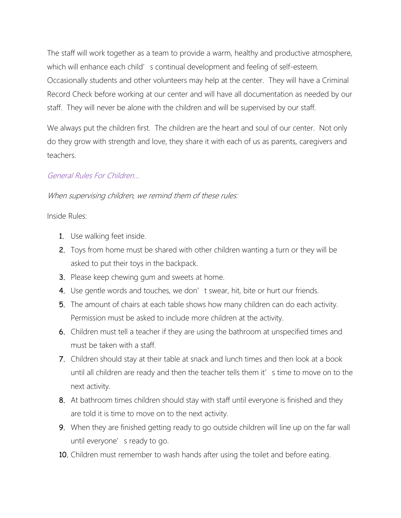The staff will work together as a team to provide a warm, healthy and productive atmosphere, which will enhance each child' s continual development and feeling of self-esteem. Occasionally students and other volunteers may help at the center. They will have a Criminal Record Check before working at our center and will have all documentation as needed by our staff. They will never be alone with the children and will be supervised by our staff.

We always put the children first. The children are the heart and soul of our center. Not only do they grow with strength and love, they share it with each of us as parents, caregivers and teachers.

### General Rules For Children…

## When supervising children, we remind them of these rules:

Inside Rules:

- 1. Use walking feet inside.
- 2. Toys from home must be shared with other children wanting a turn or they will be asked to put their toys in the backpack.
- 3. Please keep chewing gum and sweets at home.
- 4. Use gentle words and touches, we don't swear, hit, bite or hurt our friends.
- 5. The amount of chairs at each table shows how many children can do each activity. Permission must be asked to include more children at the activity.
- 6. Children must tell a teacher if they are using the bathroom at unspecified times and must be taken with a staff.
- 7. Children should stay at their table at snack and lunch times and then look at a book until all children are ready and then the teacher tells them it' s time to move on to the next activity.
- 8. At bathroom times children should stay with staff until everyone is finished and they are told it is time to move on to the next activity.
- **9.** When they are finished getting ready to go outside children will line up on the far wall until everyone' s ready to go.
- 10. Children must remember to wash hands after using the toilet and before eating.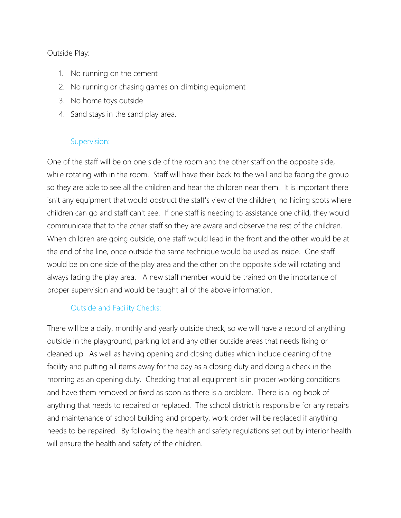### Outside Play:

- 1. No running on the cement
- 2. No running or chasing games on climbing equipment
- 3. No home toys outside
- 4. Sand stays in the sand play area.

### Supervision:

One of the staff will be on one side of the room and the other staff on the opposite side, while rotating with in the room. Staff will have their back to the wall and be facing the group so they are able to see all the children and hear the children near them. It is important there isn't any equipment that would obstruct the staff's view of the children, no hiding spots where children can go and staff can't see. If one staff is needing to assistance one child, they would communicate that to the other staff so they are aware and observe the rest of the children. When children are going outside, one staff would lead in the front and the other would be at the end of the line, once outside the same technique would be used as inside. One staff would be on one side of the play area and the other on the opposite side will rotating and always facing the play area. A new staff member would be trained on the importance of proper supervision and would be taught all of the above information.

## Outside and Facility Checks:

There will be a daily, monthly and yearly outside check, so we will have a record of anything outside in the playground, parking lot and any other outside areas that needs fixing or cleaned up. As well as having opening and closing duties which include cleaning of the facility and putting all items away for the day as a closing duty and doing a check in the morning as an opening duty. Checking that all equipment is in proper working conditions and have them removed or fixed as soon as there is a problem. There is a log book of anything that needs to repaired or replaced. The school district is responsible for any repairs and maintenance of school building and property, work order will be replaced if anything needs to be repaired. By following the health and safety regulations set out by interior health will ensure the health and safety of the children.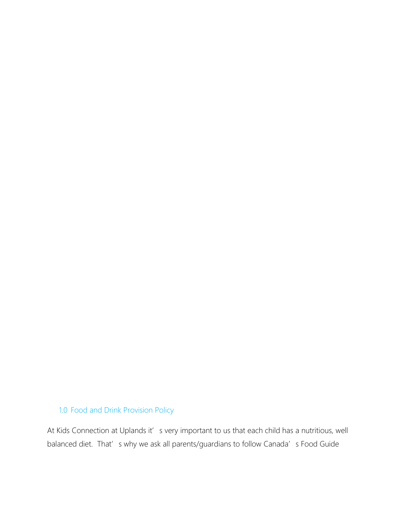# 1.0 Food and Drink Provision Policy

At Kids Connection at Uplands it's very important to us that each child has a nutritious, well balanced diet. That's why we ask all parents/guardians to follow Canada's Food Guide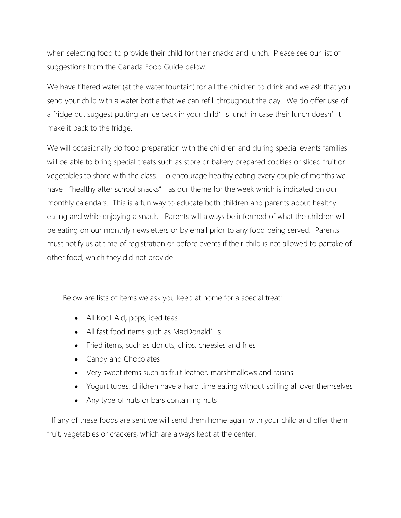when selecting food to provide their child for their snacks and lunch. Please see our list of suggestions from the Canada Food Guide below.

We have filtered water (at the water fountain) for all the children to drink and we ask that you send your child with a water bottle that we can refill throughout the day. We do offer use of a fridge but suggest putting an ice pack in your child' s lunch in case their lunch doesn't make it back to the fridge.

We will occasionally do food preparation with the children and during special events families will be able to bring special treats such as store or bakery prepared cookies or sliced fruit or vegetables to share with the class. To encourage healthy eating every couple of months we have "healthy after school snacks" as our theme for the week which is indicated on our monthly calendars. This is a fun way to educate both children and parents about healthy eating and while enjoying a snack. Parents will always be informed of what the children will be eating on our monthly newsletters or by email prior to any food being served. Parents must notify us at time of registration or before events if their child is not allowed to partake of other food, which they did not provide.

Below are lists of items we ask you keep at home for a special treat:

- All Kool-Aid, pops, iced teas
- All fast food items such as MacDonald's
- Fried items, such as donuts, chips, cheesies and fries
- Candy and Chocolates
- Very sweet items such as fruit leather, marshmallows and raisins
- Yogurt tubes, children have a hard time eating without spilling all over themselves
- Any type of nuts or bars containing nuts

 If any of these foods are sent we will send them home again with your child and offer them fruit, vegetables or crackers, which are always kept at the center.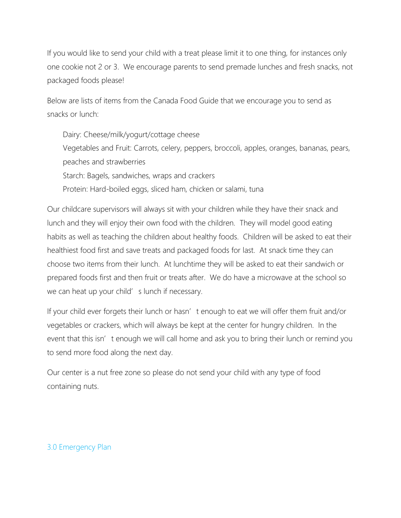If you would like to send your child with a treat please limit it to one thing, for instances only one cookie not 2 or 3. We encourage parents to send premade lunches and fresh snacks, not packaged foods please!

Below are lists of items from the Canada Food Guide that we encourage you to send as snacks or lunch:

Dairy: Cheese/milk/yogurt/cottage cheese Vegetables and Fruit: Carrots, celery, peppers, broccoli, apples, oranges, bananas, pears, peaches and strawberries Starch: Bagels, sandwiches, wraps and crackers Protein: Hard-boiled eggs, sliced ham, chicken or salami, tuna

Our childcare supervisors will always sit with your children while they have their snack and lunch and they will enjoy their own food with the children. They will model good eating habits as well as teaching the children about healthy foods. Children will be asked to eat their healthiest food first and save treats and packaged foods for last. At snack time they can choose two items from their lunch. At lunchtime they will be asked to eat their sandwich or prepared foods first and then fruit or treats after. We do have a microwave at the school so we can heat up your child' s lunch if necessary.

If your child ever forgets their lunch or hasn' t enough to eat we will offer them fruit and/or vegetables or crackers, which will always be kept at the center for hungry children. In the event that this isn't enough we will call home and ask you to bring their lunch or remind you to send more food along the next day.

Our center is a nut free zone so please do not send your child with any type of food containing nuts.

### 3.0 Emergency Plan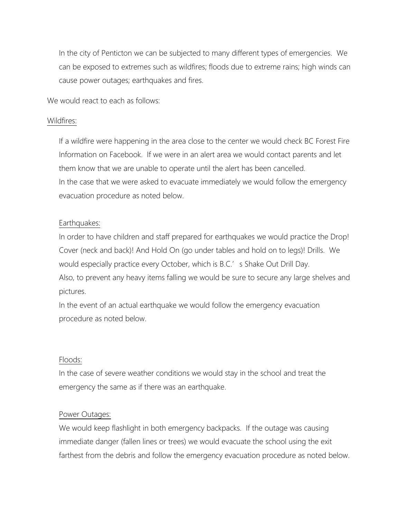In the city of Penticton we can be subjected to many different types of emergencies. We can be exposed to extremes such as wildfires; floods due to extreme rains; high winds can cause power outages; earthquakes and fires.

We would react to each as follows:

#### Wildfires:

If a wildfire were happening in the area close to the center we would check BC Forest Fire Information on Facebook. If we were in an alert area we would contact parents and let them know that we are unable to operate until the alert has been cancelled. In the case that we were asked to evacuate immediately we would follow the emergency evacuation procedure as noted below.

#### Earthquakes:

In order to have children and staff prepared for earthquakes we would practice the Drop! Cover (neck and back)! And Hold On (go under tables and hold on to legs)! Drills. We would especially practice every October, which is B.C.' s Shake Out Drill Day. Also, to prevent any heavy items falling we would be sure to secure any large shelves and pictures.

In the event of an actual earthquake we would follow the emergency evacuation procedure as noted below.

#### Floods:

In the case of severe weather conditions we would stay in the school and treat the emergency the same as if there was an earthquake.

#### Power Outages:

We would keep flashlight in both emergency backpacks. If the outage was causing immediate danger (fallen lines or trees) we would evacuate the school using the exit farthest from the debris and follow the emergency evacuation procedure as noted below.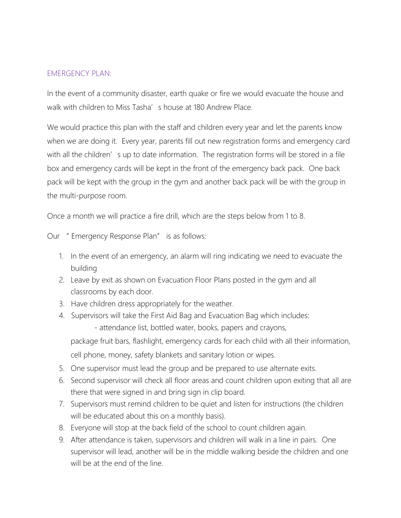#### EMERGENCY PLAN:

In the event of a community disaster, earth quake or fire we would evacuate the house and walk with children to Miss Tasha's house at 180 Andrew Place.

We would practice this plan with the staff and children every year and let the parents know when we are doing it. Every year, parents fill out new registration forms and emergency card with all the children's up to date information. The registration forms will be stored in a file box and emergency cards will be kept in the front of the emergency back pack. One back pack will be kept with the group in the gym and another back pack will be with the group in the multi-purpose room.

Once a month we will practice a fire drill, which are the steps below from 1 to 8.

Our " Emergency Response Plan" is as follows:

- 1. In the event of an emergency, an alarm will ring indicating we need to evacuate the building
- 2. Leave by exit as shown on Evacuation Floor Plans posted in the gym and all classrooms by each door.
- 3. Have children dress appropriately for the weather.
- 4. Supervisors will take the First Aid Bag and Evacuation Bag which includes: - attendance list, bottled water, books, papers and crayons,

package fruit bars, flashlight, emergency cards for each child with all their information, cell phone, money, safety blankets and sanitary lotion or wipes.

- 5. One supervisor must lead the group and be prepared to use alternate exits.
- 6. Second supervisor will check all floor areas and count children upon exiting that all are there that were signed in and bring sign in clip board.
- 7. Supervisors must remind children to be quiet and listen for instructions (the children will be educated about this on a monthly basis).
- 8. Everyone will stop at the back field of the school to count children again.
- 9. After attendance is taken, supervisors and children will walk in a line in pairs. One supervisor will lead, another will be in the middle walking beside the children and one will be at the end of the line.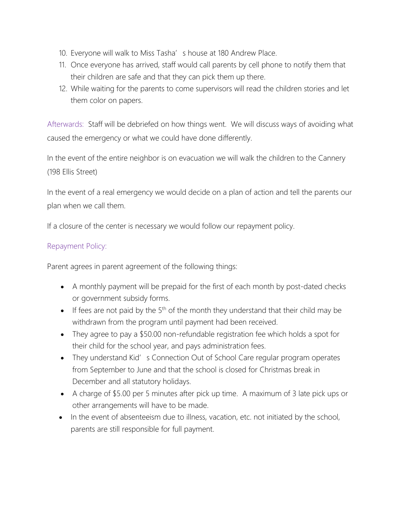- 10. Everyone will walk to Miss Tasha's house at 180 Andrew Place.
- 11. Once everyone has arrived, staff would call parents by cell phone to notify them that their children are safe and that they can pick them up there.
- 12. While waiting for the parents to come supervisors will read the children stories and let them color on papers.

Afterwards: Staff will be debriefed on how things went. We will discuss ways of avoiding what caused the emergency or what we could have done differently.

In the event of the entire neighbor is on evacuation we will walk the children to the Cannery (198 Ellis Street)

In the event of a real emergency we would decide on a plan of action and tell the parents our plan when we call them.

If a closure of the center is necessary we would follow our repayment policy.

### Repayment Policy:

Parent agrees in parent agreement of the following things:

- A monthly payment will be prepaid for the first of each month by post-dated checks or government subsidy forms.
- If fees are not paid by the  $5<sup>th</sup>$  of the month they understand that their child may be withdrawn from the program until payment had been received.
- They agree to pay a \$50.00 non-refundable registration fee which holds a spot for their child for the school year, and pays administration fees.
- They understand Kid's Connection Out of School Care regular program operates from September to June and that the school is closed for Christmas break in December and all statutory holidays.
- A charge of \$5.00 per 5 minutes after pick up time. A maximum of 3 late pick ups or other arrangements will have to be made.
- In the event of absenteeism due to illness, vacation, etc. not initiated by the school, parents are still responsible for full payment.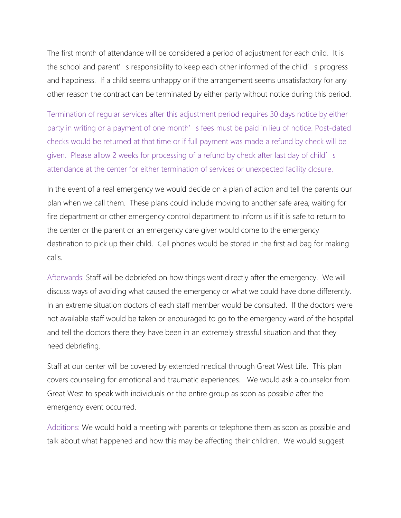The first month of attendance will be considered a period of adjustment for each child. It is the school and parent's responsibility to keep each other informed of the child's progress and happiness. If a child seems unhappy or if the arrangement seems unsatisfactory for any other reason the contract can be terminated by either party without notice during this period.

Termination of regular services after this adjustment period requires 30 days notice by either party in writing or a payment of one month's fees must be paid in lieu of notice. Post-dated checks would be returned at that time or if full payment was made a refund by check will be given. Please allow 2 weeks for processing of a refund by check after last day of child's attendance at the center for either termination of services or unexpected facility closure.

In the event of a real emergency we would decide on a plan of action and tell the parents our plan when we call them. These plans could include moving to another safe area; waiting for fire department or other emergency control department to inform us if it is safe to return to the center or the parent or an emergency care giver would come to the emergency destination to pick up their child. Cell phones would be stored in the first aid bag for making calls.

Afterwards: Staff will be debriefed on how things went directly after the emergency. We will discuss ways of avoiding what caused the emergency or what we could have done differently. In an extreme situation doctors of each staff member would be consulted. If the doctors were not available staff would be taken or encouraged to go to the emergency ward of the hospital and tell the doctors there they have been in an extremely stressful situation and that they need debriefing.

Staff at our center will be covered by extended medical through Great West Life. This plan covers counseling for emotional and traumatic experiences. We would ask a counselor from Great West to speak with individuals or the entire group as soon as possible after the emergency event occurred.

Additions: We would hold a meeting with parents or telephone them as soon as possible and talk about what happened and how this may be affecting their children. We would suggest